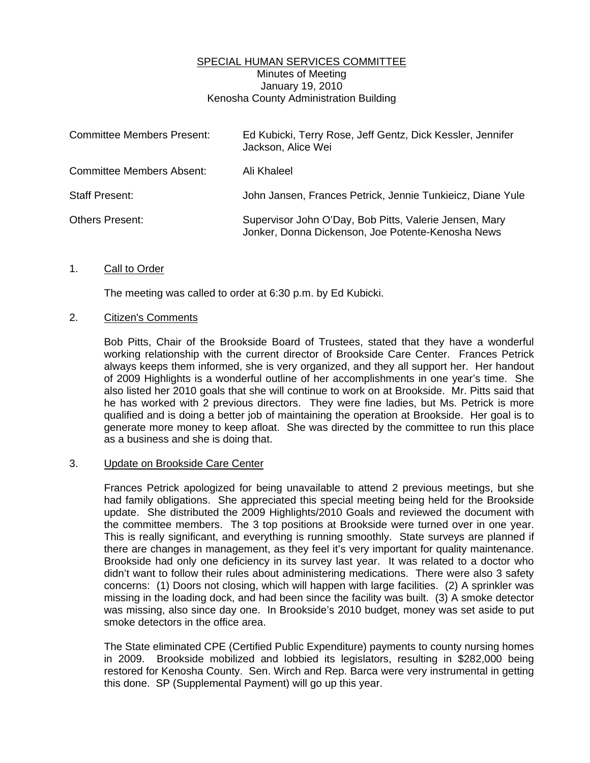## SPECIAL HUMAN SERVICES COMMITTEE Minutes of Meeting January 19, 2010 Kenosha County Administration Building

| <b>Committee Members Present:</b> | Ed Kubicki, Terry Rose, Jeff Gentz, Dick Kessler, Jennifer<br>Jackson, Alice Wei                            |
|-----------------------------------|-------------------------------------------------------------------------------------------------------------|
| <b>Committee Members Absent:</b>  | Ali Khaleel                                                                                                 |
| <b>Staff Present:</b>             | John Jansen, Frances Petrick, Jennie Tunkieicz, Diane Yule                                                  |
| <b>Others Present:</b>            | Supervisor John O'Day, Bob Pitts, Valerie Jensen, Mary<br>Jonker, Donna Dickenson, Joe Potente-Kenosha News |

## 1. Call to Order

The meeting was called to order at 6:30 p.m. by Ed Kubicki.

## 2. Citizen's Comments

 Bob Pitts, Chair of the Brookside Board of Trustees, stated that they have a wonderful working relationship with the current director of Brookside Care Center. Frances Petrick always keeps them informed, she is very organized, and they all support her. Her handout of 2009 Highlights is a wonderful outline of her accomplishments in one year's time. She also listed her 2010 goals that she will continue to work on at Brookside. Mr. Pitts said that he has worked with 2 previous directors. They were fine ladies, but Ms. Petrick is more qualified and is doing a better job of maintaining the operation at Brookside. Her goal is to generate more money to keep afloat. She was directed by the committee to run this place as a business and she is doing that.

## 3. Update on Brookside Care Center

 Frances Petrick apologized for being unavailable to attend 2 previous meetings, but she had family obligations. She appreciated this special meeting being held for the Brookside update. She distributed the 2009 Highlights/2010 Goals and reviewed the document with the committee members. The 3 top positions at Brookside were turned over in one year. This is really significant, and everything is running smoothly. State surveys are planned if there are changes in management, as they feel it's very important for quality maintenance. Brookside had only one deficiency in its survey last year. It was related to a doctor who didn't want to follow their rules about administering medications. There were also 3 safety concerns: (1) Doors not closing, which will happen with large facilities. (2) A sprinkler was missing in the loading dock, and had been since the facility was built. (3) A smoke detector was missing, also since day one. In Brookside's 2010 budget, money was set aside to put smoke detectors in the office area.

 The State eliminated CPE (Certified Public Expenditure) payments to county nursing homes in 2009. Brookside mobilized and lobbied its legislators, resulting in \$282,000 being restored for Kenosha County. Sen. Wirch and Rep. Barca were very instrumental in getting this done. SP (Supplemental Payment) will go up this year.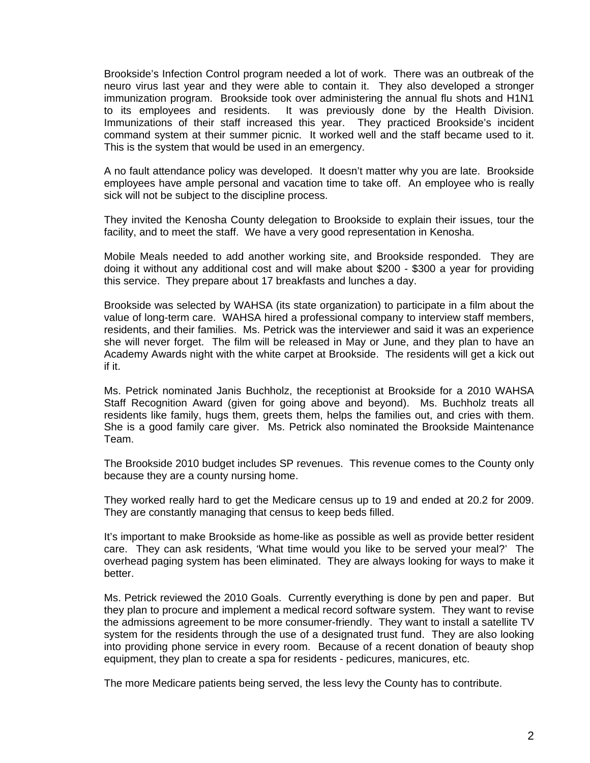Brookside's Infection Control program needed a lot of work. There was an outbreak of the neuro virus last year and they were able to contain it. They also developed a stronger immunization program. Brookside took over administering the annual flu shots and H1N1 to its employees and residents. It was previously done by the Health Division. Immunizations of their staff increased this year. They practiced Brookside's incident command system at their summer picnic. It worked well and the staff became used to it. This is the system that would be used in an emergency.

 A no fault attendance policy was developed. It doesn't matter why you are late. Brookside employees have ample personal and vacation time to take off. An employee who is really sick will not be subject to the discipline process.

 They invited the Kenosha County delegation to Brookside to explain their issues, tour the facility, and to meet the staff. We have a very good representation in Kenosha.

 Mobile Meals needed to add another working site, and Brookside responded. They are doing it without any additional cost and will make about \$200 - \$300 a year for providing this service. They prepare about 17 breakfasts and lunches a day.

 Brookside was selected by WAHSA (its state organization) to participate in a film about the value of long-term care. WAHSA hired a professional company to interview staff members, residents, and their families. Ms. Petrick was the interviewer and said it was an experience she will never forget. The film will be released in May or June, and they plan to have an Academy Awards night with the white carpet at Brookside. The residents will get a kick out if it.

 Ms. Petrick nominated Janis Buchholz, the receptionist at Brookside for a 2010 WAHSA Staff Recognition Award (given for going above and beyond). Ms. Buchholz treats all residents like family, hugs them, greets them, helps the families out, and cries with them. She is a good family care giver. Ms. Petrick also nominated the Brookside Maintenance Team.

 The Brookside 2010 budget includes SP revenues. This revenue comes to the County only because they are a county nursing home.

 They worked really hard to get the Medicare census up to 19 and ended at 20.2 for 2009. They are constantly managing that census to keep beds filled.

 It's important to make Brookside as home-like as possible as well as provide better resident care. They can ask residents, 'What time would you like to be served your meal?' The overhead paging system has been eliminated. They are always looking for ways to make it better.

 Ms. Petrick reviewed the 2010 Goals. Currently everything is done by pen and paper. But they plan to procure and implement a medical record software system. They want to revise the admissions agreement to be more consumer-friendly. They want to install a satellite TV system for the residents through the use of a designated trust fund. They are also looking into providing phone service in every room. Because of a recent donation of beauty shop equipment, they plan to create a spa for residents - pedicures, manicures, etc.

The more Medicare patients being served, the less levy the County has to contribute.